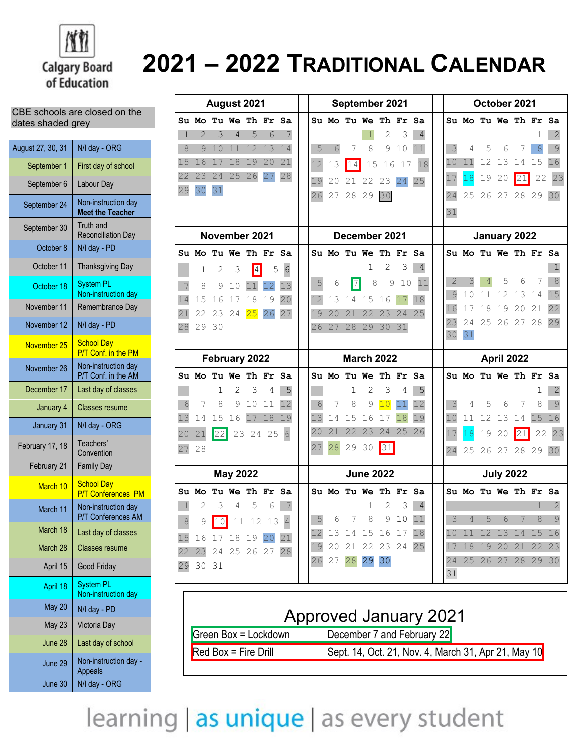

# **2021 – 2022 TRADITIONAL CALENDAR**

#### CBE schools are closed on the dates shaded grey

| August 27, 30, 31 | N/I day - ORG                                  |
|-------------------|------------------------------------------------|
| September 1       | First day of school                            |
| September 6       | Labour Day                                     |
| September 24      | Non-instruction day<br><b>Meet the Teacher</b> |
| September 30      | <b>Truth and</b><br><b>Reconciliation Day</b>  |
| October 8         | N/I day - PD                                   |
| October 11        | <b>Thanksgiving Day</b>                        |
| October 18        | <b>System PL</b><br>Non-instruction day        |
| November 11       | Remembrance Day                                |
| November 12       | N/I day - PD                                   |
| November 25       | <b>School Day</b><br>P/T Conf. in the PM       |
| November 26       | Non-instruction day<br>P/T Conf. in the AM     |
| December 17       | Last day of classes                            |
| January 4         | <b>Classes resume</b>                          |
| January 31        | N/I day - ORG                                  |
| February 17, 18   | Teachers'<br>Convention                        |
| February 21       | <b>Family Day</b>                              |
| March 10          | <b>School Day</b><br><b>P/T Conferences PM</b> |
| March 11          | Non-instruction day<br>P/T Conferences AM      |
| March 18          | Last day of classes                            |
| March 28          | <b>Classes resume</b>                          |
| April 15          | Good Friday                                    |
| April 18          | <b>System PL</b><br>Non-instruction day        |
| <b>May 20</b>     | N/I day - PD                                   |
| <b>May 23</b>     | Victoria Day                                   |
| June 28           | Last day of school                             |
| June 29           | Non-instruction day -<br>Appeals               |
| June 30           | N/I day - ORG                                  |

| August 2021              |                          |          |                 |                    | September 2021    |                 |          |          | October 2021 |                        |               |          |                |                |                      |       |                  |            |          |         |
|--------------------------|--------------------------|----------|-----------------|--------------------|-------------------|-----------------|----------|----------|--------------|------------------------|---------------|----------|----------------|----------------|----------------------|-------|------------------|------------|----------|---------|
|                          | Su Mo Tu We Th Fr Sa     |          |                 |                    |                   |                 |          |          |              | Su Mo Tu We Th Fr Sa   |               |          |                |                | Su Mo Tu We Th Fr Sa |       |                  |            |          |         |
| $\mathbf{1}$             | 2                        | 3        | 4               | 5                  | 6                 | 7               |          |          |              | 1                      | 2             | 3        | 4              |                |                      |       |                  |            | 1        | 2       |
| 8                        | 9                        | 10       | 11              | 12                 | 13                | 14              | 5        | 6        | 7            | 8                      | 9             | 10       | 11             | 3              | 4                    | 5     | 6                | 7          | 8        | 9       |
| 15                       | 16                       | 17       | 18              | 19                 | 20                | 21              | 12       | 13       | 14           | 15                     | 16            | 17       | 18             | 10             | 11                   | 12    | 13               | 14         | 15       | 16      |
| 22                       | 23                       | 24       | 25              | 26                 | 27                | 28              | 19       | 20       | 21           | 22                     | 23            | 24       | 25             | 17             | 18                   | 19    | 20               | 21         | 22       | 23      |
| 29                       | 30                       | 31       |                 |                    |                   |                 | 26       |          | 27 28 29     |                        | 30            |          |                | 24             | 25                   | 26 27 |                  |            | 28 29    | 30      |
|                          |                          |          |                 |                    |                   |                 |          |          |              |                        |               |          |                | 31             |                      |       |                  |            |          |         |
|                          |                          |          |                 | November 2021      |                   |                 |          |          |              | December 2021          |               |          |                |                |                      |       | January 2022     |            |          |         |
|                          |                          |          |                 |                    |                   |                 |          |          |              | Su Mo Tu We Th Fr      |               |          | Sa             |                |                      |       |                  |            |          |         |
|                          | Su Mo Tu We Th Fr Sa     |          |                 |                    |                   |                 |          |          |              | 1                      | 2             | 3        | $\overline{4}$ |                | Su Mo Tu We Th Fr Sa |       |                  |            |          |         |
|                          | 1                        | 2        | 3               | $\vert 4 \vert$    | 5                 | $6\phantom{.}6$ | 5        | 6        | 7            | 8                      | $\mathcal{G}$ | 10       | 11             | $\overline{2}$ | 3                    |       | 5                | 6          | 7        | 8       |
|                          | 8                        | 9        | 10              | 11                 |                   | 13              |          |          |              |                        |               |          |                | 9              | 10                   | 11    | 12               | 13         | 14       | 15      |
| 14                       | 15                       | 16       | 17              | 18                 | 19                | 20              | 12       | 13       | 14           | 15                     | 16            | 17       | 18             | 16             | 17                   | 18    | 19               | 20         | 21       | 22      |
| 21<br>28                 | 22<br>29                 | 23<br>30 | 24              | 25                 | 26                | 27              | 19<br>26 | 20<br>27 | 21<br>28     | 22<br>29               | 23<br>30      | 24<br>31 | 25             | 23             | 24                   | 25    | 26               | 27         | 28       | 29      |
|                          |                          |          |                 |                    |                   |                 |          |          |              |                        |               |          |                | 30             | 31                   |       |                  |            |          |         |
| February 2022            |                          |          |                 |                    | <b>March 2022</b> |                 |          |          |              |                        |               |          |                |                |                      |       |                  |            |          |         |
|                          |                          |          |                 |                    |                   |                 |          |          |              |                        |               |          |                |                |                      |       |                  | April 2022 |          |         |
|                          | <b>Su Mo Tu We Th Fr</b> |          |                 |                    |                   | Sa              |          |          |              | Su Mo Tu We            |               | Th Fr    | Sa             |                | Su Mo Tu We Th Fr Sa |       |                  |            |          |         |
|                          |                          | 1        | 2               | 3                  | 4                 | 5               |          |          | 1            | 2                      | 3             | 4        | 5              |                |                      |       |                  |            |          | 2       |
| 6                        | 7                        | 8        | 9               | 10                 | 11                | 12              | 6        | 7        | 8            | 9                      | 10            | 11       | 12             | 3              | 4                    | 5     | 6                | 7          | 8        | 9       |
|                          | 14                       | 15       | 16              | 17                 | 18                | 19              | 13       | 14       | 15           | 16                     | 17            | 18       | 19             | 10             | 11                   | 12    | 13               | 14         | 15       | 16      |
|                          | 21                       | 22       |                 | 23 24 25           |                   | $6\overline{6}$ | 20       | 21       | 22           | 23                     | 24            | 25       | 26             | 17             | 18                   | 19    | 20               | 21         | 22       | 23      |
|                          | 28                       |          |                 |                    |                   |                 |          | 28       | 29           | 30                     | 31            |          |                | 24             | 25                   |       | 26 27            |            | 28 29 30 |         |
|                          |                          |          |                 |                    |                   |                 |          |          |              | <b>June 2022</b>       |               |          |                |                |                      |       |                  |            |          |         |
| 13<br>20<br>27           |                          |          | <b>May 2022</b> | <b>Tu We Th Fr</b> |                   |                 |          |          |              |                        |               |          |                |                | Su Mo Tu We Th Fr    |       | <b>July 2022</b> |            |          |         |
| $\mathbf 1$              | Su Mo<br>2               | 3        | 4               | 5                  | 6                 | Sa              |          |          |              | Su Mo Tu We Th Fr<br>1 | 2             | 3        | Sa<br>4        |                |                      |       |                  |            | 1        | Sa<br>2 |
|                          |                          |          |                 |                    |                   |                 | 5        | 6        |              | 7 8                    |               | 9 10     | 11             | 3              | $\sqrt{4}$           | 5     | 6                | 7          | 8        | 9       |
| $\overline{\mathcal{S}}$ |                          |          |                 | 9 10 11 12 13 4    |                   |                 |          |          |              | 12 13 14 15 16 17 18   |               |          |                |                | 10 11 12 13 14 15 16 |       |                  |            |          |         |
|                          | 15 16 17 18 19 20 21     |          |                 |                    |                   |                 |          |          |              | 19 20 21 22 23 24 25   |               |          |                |                | 17 18 19 20 21 22 23 |       |                  |            |          |         |
|                          | 22 23 24 25 26 27 28     |          |                 |                    |                   |                 |          |          |              | 26 27 28 29 30         |               |          |                |                | 24 25 26 27 28 29 30 |       |                  |            |          |         |
|                          | 29 30 31                 |          |                 |                    |                   |                 |          |          |              |                        |               |          |                | 31             |                      |       |                  |            |          |         |

| <b>Approved January 2021</b>                                                  |  |  |  |  |  |  |
|-------------------------------------------------------------------------------|--|--|--|--|--|--|
| December 7 and February 22<br>Green Box = Lockdown                            |  |  |  |  |  |  |
| $Red Box = Fire Drill$<br>Sept. 14, Oct. 21, Nov. 4, March 31, Apr 21, May 10 |  |  |  |  |  |  |

learning | as unique | as every student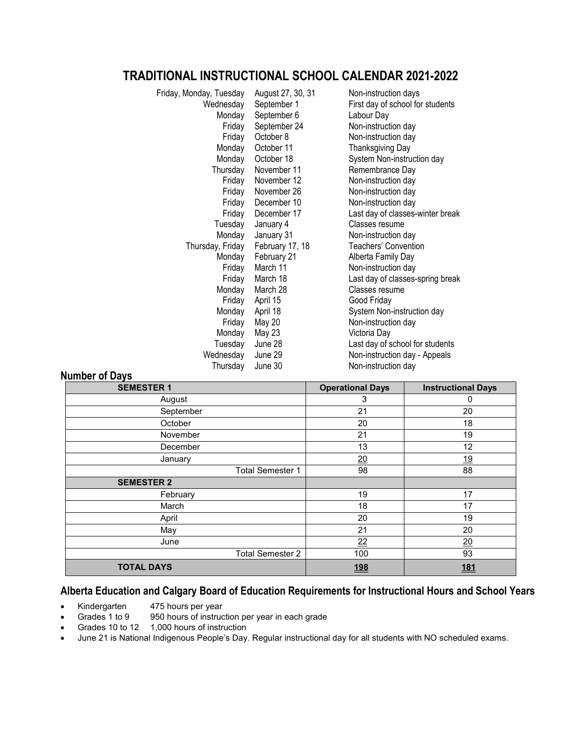## **TRADITIONAL INSTRUCTIONAL SCHOOL CALENDAR 2021-2022**

| Friday, Monday, Tuesday | August 27, 30, 31 | Non-instruction days             |
|-------------------------|-------------------|----------------------------------|
| Wednesday               | September 1       | First day of school for students |
| Monday                  | September 6       | Labour Day                       |
| Friday                  | September 24      | Non-instruction day              |
| Friday                  | October 8         | Non-instruction day              |
| Monday                  | October 11        | <b>Thanksgiving Day</b>          |
| Monday                  | October 18        | System Non-instruction day       |
| Thursday                | November 11       | Remembrance Day                  |
| Friday                  | November 12       | Non-instruction day              |
| Friday                  | November 26       | Non-instruction day              |
| Friday                  | December 10       | Non-instruction day              |
| Friday                  | December 17       | Last day of classes-winter break |
| Tuesday                 | January 4         | Classes resume                   |
| Monday                  | January 31        | Non-instruction day              |
| Thursday, Friday        | February 17, 18   | <b>Teachers' Convention</b>      |
| Monday                  | February 21       | Alberta Family Day               |
| Friday                  | March 11          | Non-instruction day              |
| Friday                  | March 18          | Last day of classes-spring break |
| Monday                  | March 28          | Classes resume                   |
| Friday                  | April 15          | Good Friday                      |
| Monday                  | April 18          | System Non-instruction day       |
| Friday                  | <b>May 20</b>     | Non-instruction day              |
| Monday                  | May 23            | Victoria Day                     |
| Tuesday                 | June 28           | Last day of school for students  |
| Wednesday               | June 29           | Non-instruction day - Appeals    |
| Thursday                | June 30           | Non-instruction day              |

### **Number of Days**

| <b>SEMESTER 1</b>       | <b>Operational Days</b> | <b>Instructional Days</b> |
|-------------------------|-------------------------|---------------------------|
| August                  | 3                       | 0                         |
| September               | 21                      | 20                        |
| October                 | 20                      | 18                        |
| November                | 21                      | 19                        |
| December                | 13                      | 12                        |
| January                 | 20                      | <u>19</u>                 |
| <b>Total Semester 1</b> | 98                      | 88                        |
| <b>SEMESTER 2</b>       |                         |                           |
| February                | 19                      | 17                        |
| March                   | 18                      | 17                        |
| April                   | 20                      | 19                        |
| May                     | 21                      | 20                        |
| June                    | $\overline{22}$         | $\overline{20}$           |
| <b>Total Semester 2</b> | 100                     | 93                        |
| <b>TOTAL DAYS</b>       | <u>198</u>              | <u>181</u>                |

## **Alberta Education and Calgary Board of Education Requirements for Instructional Hours and School Years**

- Kindergarten 475 hours per year
- Grades 1 to 9 950 hours of instruction per year in each grade
- Grades 1 to 5 contracts of instruction
- June 21 is National Indigenous People's Day. Regular instructional day for all students with NO scheduled exams.